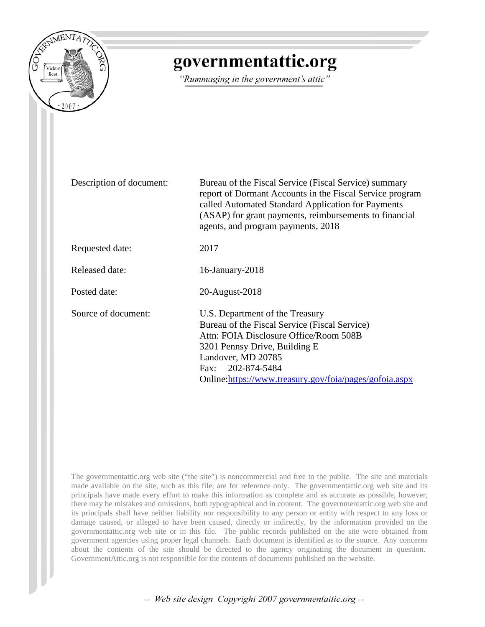

## governmentattic.org

"Rummaging in the government's attic"

Description of document: Bureau of the Fiscal Service (Fiscal Service) summary report of Dormant Accounts in the Fiscal Service program called Automated Standard Application for Payments (ASAP) for grant payments, reimbursements to financial agents, and program payments, 2018 Requested date: 2017 Released date: 16-January-2018 Posted date: 20-August-2018 Source of document: U.S. Department of the Treasury Bureau of the Fiscal Service (Fiscal Service) Attn: FOIA Disclosure Office/Room 508B 3201 Pennsy Drive, Building E Landover, MD 20785 Fax: 202-874-5484 Online[:https://www.treasury.gov/foia/pages/gofoia.aspx](https://www.treasury.gov/foia/pages/gofoia.aspx)

The governmentattic.org web site ("the site") is noncommercial and free to the public. The site and materials made available on the site, such as this file, are for reference only. The governmentattic.org web site and its principals have made every effort to make this information as complete and as accurate as possible, however, there may be mistakes and omissions, both typographical and in content. The governmentattic.org web site and its principals shall have neither liability nor responsibility to any person or entity with respect to any loss or damage caused, or alleged to have been caused, directly or indirectly, by the information provided on the governmentattic.org web site or in this file. The public records published on the site were obtained from government agencies using proper legal channels. Each document is identified as to the source. Any concerns about the contents of the site should be directed to the agency originating the document in question. GovernmentAttic.org is not responsible for the contents of documents published on the website.

-- Web site design Copyright 2007 governmentattic.org --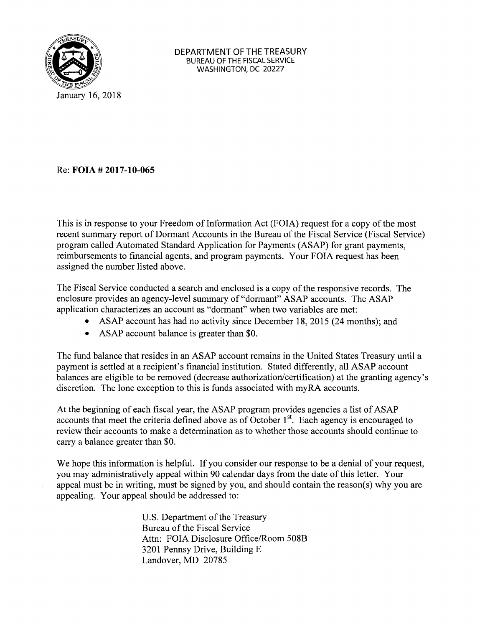

Re: **FOIA # 2017-10-065** 

This is in response to your Freedom of Information Act (FOIA) request for a copy of the most recent summary report of Dormant Accounts in the Bureau of the Fiscal Service (Fiscal Service) program called Automated Standard Application for Payments (ASAP) for grant payments, reimbursements to financial agents, and program payments. Your FOIA request has been assigned the number listed above.

The Fiscal Service conducted a search and enclosed is a copy of the responsive records. The enclosure provides an agency-level summary of "dormant" ASAP accounts. The ASAP application characterizes an account as "dormant" when two variables are met:

- ASAP account has had no activity since December 18, 2015 (24 months); and
- ASAP account balance is greater than \$0.

The fund balance that resides in an ASAP account remains in the United States Treasury until a payment is settled at a recipient's financial institution. Stated differently, all ASAP account balances are eligible to be removed (decrease authorization/certification) at the granting agency's discretion. The lone exception to this is funds associated with my RA accounts.

At the beginning of each fiscal year, the ASAP program provides agencies a list of ASAP accounts that meet the criteria defined above as of October  $1<sup>st</sup>$ . Each agency is encouraged to review their accounts to make a determination as to whether those accounts should continue to carry a balance greater than \$0.

We hope this information is helpful. If you consider our response to be a denial of your request, you may administratively appeal within 90 calendar days from the date of this letter. Your appeal must be in writing, must be signed by you, and should contain the reason(s) why you are appealing. Your appeal should be addressed to:

> U.S. Department of the Treasury Bureau of the Fiscal Service Attn: FOIA Disclosure Office/Room 508B 3201 Pennsy Drive, Building E Landover, MD 20785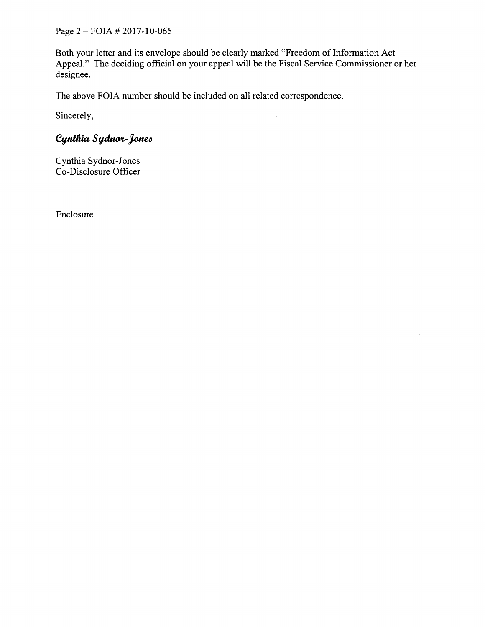Page 2- FOIA # 2017-10-065

Both your letter and its envelope should be clearly marked "Freedom of Information Act Appeal." The deciding official on your appeal will be the Fiscal Service Commissioner or her designee.

 $\overline{\phantom{a}}$ 

 $\overline{a}$ 

The above FOIA number should be included on all related correspondence.

Sincerely,

## Cynthia Sydnor-Jones

Cynthia Sydnor-Jones Co-Disclosure Officer

Enclosure